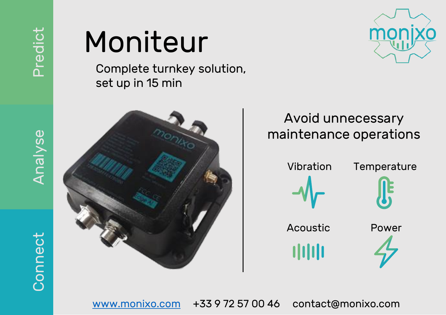### Moniteur

Complete turnkey solution, set up in 15 min





### Avoid unnecessary maintenance operations



[www.monixo.com](http://www.monixo.com/) +33 9 72 57 00 46 contact@monixo.com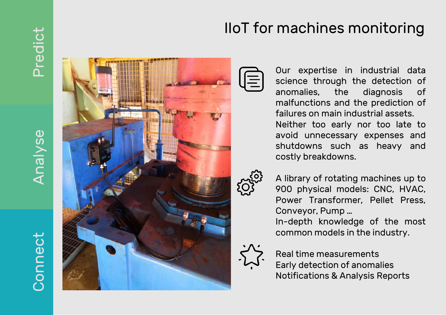## **Connect**

# Analyse



### IIoT for machines monitoring

Our expertise in industrial data science through the detection of anomalies, the diagnosis of malfunctions and the prediction of failures on main industrial assets . Neither too early nor too late to avoid unnecessary expenses and shutdowns such as heavy and costly breakdowns .



A library of rotating machines up to 900 physical models : CNC, HVAC, Power Transformer, Pellet Press , Conveyor , Pump …

In -depth knowledge of the most common models in the industry .



Real time measurements Early detection of anomalies Notifications & Analysis Reports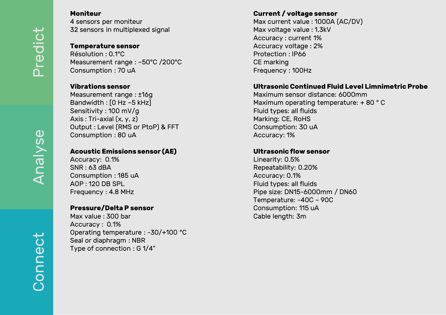Analyse

**Connect** 

#### **Moniteur**

4 sensors pe r moniteur 32 sensors in multiplexed signal

#### **Temperature sensor**

Résolution : 0.1°C Measurement range : –50°C /200°C Consumption : 70 uA

#### **Vibrations sensor**

Measurement range : ±16g Bandwidth : [ 0 Hz – 5 kHz] Sensitivity : 100 mV/g Axis : Tri -axial (x, y, z) Output : Level (RMS or PtoP ) & FFT Consumption : 80 uA

#### **Acoustic Emissions sensor (AE)**

Accuracy: 0.1% SNR : 63 dBA Consumption : 185 uA AOP : 120 DB SPL Frequency : 4 . 8 MHz

#### **Pressure/Delta P sensor**

Max value : 300 bar Accuracy: 0.1% Operating temperature : -30/+100 °C Seal or diaphragm : NBR Type of connection : G 1/4"

#### **Current / voltage sensor**

Max current value: 1000A (AC/DV) Max voltage value : 1 . 3kV Accuracy : current 1 % Accuracy voltage : 2 % Protection : IP66 CE marking Frequency : 100Hz

#### **Ultrasonic Continued Fluid Level Limnimetric Probe**

Maximum sensor distance : 6000mm Maximum operating temperature: +80 °C Fluid types : all fluids Marking : CE, RoHS Consumption : 30 uA Accuracy : 1 %

#### **Ultrasonic flow sensor**

Linearity: 0.5% Repeatability : 0 .20 % Accuracy: 0.1% Fluid types : all fluids Pipe size : DN15 -6000mm / DN60 Temperature: -40C ~ 90C Consumption : 115 uA Cable length: 3m